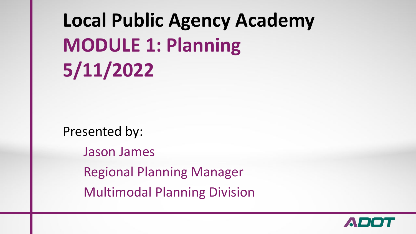# **Local Public Agency Academy MODULE 1: Planning 5/11/2022**

Presented by: Jason James Regional Planning Manager Multimodal Planning Division

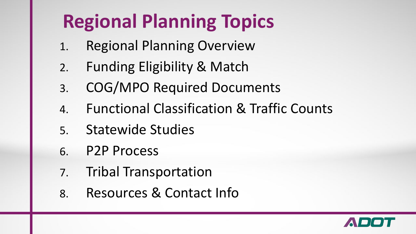# **Regional Planning Topics**

- 1. Regional Planning Overview
- 2. Funding Eligibility & Match
- 3. COG/MPO Required Documents
- 4. Functional Classification & Traffic Counts
- 5. Statewide Studies
- 6. P2P Process
- 7. Tribal Transportation
- 8. Resources & Contact Info

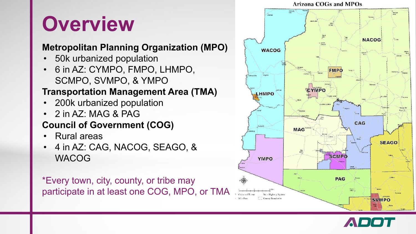# **Overview**

#### **Metropolitan Planning Organization (MPO)**

- 50k urbanized population
- 6 in AZ: CYMPO, FMPO, LHMPO, SCMPO, SVMPO, & YMPO

#### **Transportation Management Area (TMA)**

- 200k urbanized population
- 2 in AZ: MAG & PAG

#### **Council of Government (COG)**

- Rural areas
- 4 in AZ: CAG, NACOG, SEAGO, & WACOG

\*Every town, city, county, or tribe may participate in at least one COG, MPO, or TMA



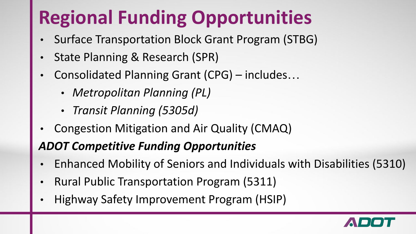# **Regional Funding Opportunities**

- Surface Transportation Block Grant Program (STBG)
- State Planning & Research (SPR)
- Consolidated Planning Grant (CPG) includes…
	- *• Metropolitan Planning (PL)*
	- *• Transit Planning (5305d)*
- Congestion Mitigation and Air Quality (CMAQ)

### *ADOT Competitive Funding Opportunities*

- Enhanced Mobility of Seniors and Individuals with Disabilities (5310)
- Rural Public Transportation Program (5311)
- Highway Safety Improvement Program (HSIP)

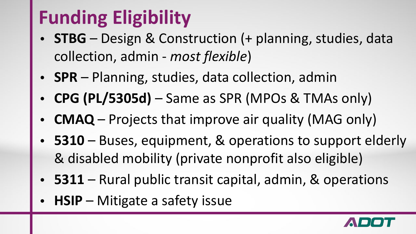# **Funding Eligibility**

- **• STBG** Design & Construction (+ planning, studies, data collection, admin - *most flexible*)
- **• SPR** Planning, studies, data collection, admin
- **• CPG (PL/5305d)**  Same as SPR (MPOs & TMAs only)
- **• CMAQ** Projects that improve air quality (MAG only)
- **• 5310**  Buses, equipment, & operations to support elderly & disabled mobility (private nonprofit also eligible)
- **• 5311**  Rural public transit capital, admin, & operations
- **• HSIP** Mitigate a safety issue

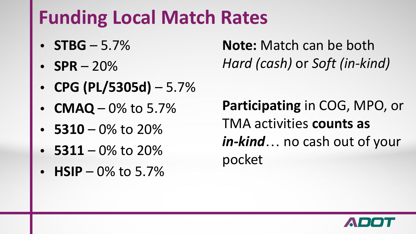## **Funding Local Match Rates**

- $$\sf STBG 5.7\%$$
- $SPR 20%$
- **• CPG (PL/5305d)** 5.7%
- **CMAQ** 0% to 5.7%
- $\cdot$  **5310** 0% to 20%
- **• 5311** 0% to 20%
- $HSIP 0\%$  to 5.7%

**Note:** Match can be both *Hard (cash)* or *Soft (in-kind)*

**Participating** in COG, MPO, or TMA activities **counts as**  *in-kind*… no cash out of your pocket

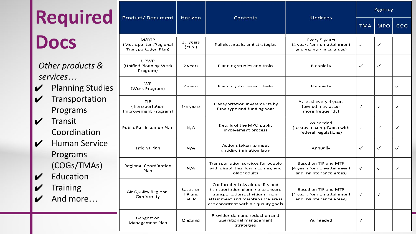| Required                   |                                                                   | <b>Product/Document</b>                                 | Horizon                    | Contents                                                                                                                                                                                | <b>Updates</b>                                                                | Agency       |            |              |
|----------------------------|-------------------------------------------------------------------|---------------------------------------------------------|----------------------------|-----------------------------------------------------------------------------------------------------------------------------------------------------------------------------------------|-------------------------------------------------------------------------------|--------------|------------|--------------|
|                            |                                                                   |                                                         |                            |                                                                                                                                                                                         |                                                                               | <b>TMA</b>   | <b>MPO</b> | COG          |
| <b>Docs</b>                |                                                                   | M/RTP<br>(Metropolitan/Regional<br>Transportation Plan) | 20 years<br>(min.)         | Policies, goals, and strategies                                                                                                                                                         | Every 5 years<br>(4 years for non-attainment<br>and maintenance areas)        | ✓            | ✓          |              |
|                            | Other products &                                                  | <b>UPWP</b><br>(Unified Planning Work<br>Program)       | 2 years                    | Planning studies and tasks                                                                                                                                                              | Biennially                                                                    | $\checkmark$ | ✓          |              |
|                            | services<br><b>Planning Studies</b><br>Transportation<br>Programs | WP<br>(Work Program)                                    | 2 years                    | Planning studies and tasks                                                                                                                                                              | Biennially                                                                    |              |            | $\checkmark$ |
|                            |                                                                   | TIP<br>(Transportation<br>Improvement Program)          | 4-5 years                  | Transportation investments by<br>fund type and funding year                                                                                                                             | At least every 4 years<br>(period may occur<br>more frequently)               | ✓            | ✓          | ✓            |
| V                          | Transit<br>Coordination                                           | <b>Public Participation Plan</b>                        | N/A                        | Details of the MPO public<br>involvement process                                                                                                                                        | As needed<br>(to stay in compliance with<br>federal regulations)              | ✓            | ✓          | $\checkmark$ |
| $\boldsymbol{\mathcal{U}}$ | <b>Human Service</b><br>Programs                                  | Title VI Plan                                           | N/A                        | Actions taken to meet<br>antidiscrimination laws                                                                                                                                        | Annually                                                                      | $\checkmark$ | ✓          | $\checkmark$ |
|                            | (COGs/TMAs)<br>Education<br><b>Training</b><br>And more           | <b>Regional Coordination</b><br>Plan                    | N/A                        | Transportation services for people<br>with disabilities, low incomes, and<br>older adults                                                                                               | Based on TIP and MTP<br>(4 years for non-attainment<br>and maintenance areas) | $\checkmark$ | ✓          | √            |
|                            |                                                                   | <b>Air Quality Regional</b><br>Conformity               | Based on<br>TIP and<br>MTP | Conformity links air quality and<br>transportation planning to ensure<br>transportation activities in non-<br>attainment and maintenance areas<br>are consistent with air quality goals | Based on TIP and MTP<br>(4 years for non-attainment<br>and maintenance areas) | $\checkmark$ | ✓          |              |
|                            |                                                                   | Congestion<br>Management Plan                           | Ongoing                    | Provides demand reduction and<br>operational management<br>strategies                                                                                                                   | As needed                                                                     | ✓            |            |              |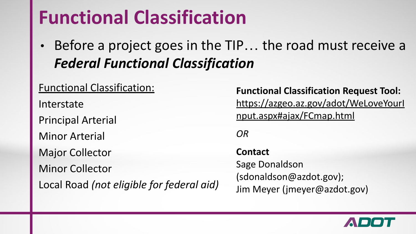## **Functional Classification**

Before a project goes in the TIP... the road must receive a *Federal Functional Classification*

| <b>Functional Classification:</b>         |  |  |  |  |  |
|-------------------------------------------|--|--|--|--|--|
| Interstate                                |  |  |  |  |  |
| <b>Principal Arterial</b>                 |  |  |  |  |  |
| <b>Minor Arterial</b>                     |  |  |  |  |  |
| <b>Major Collector</b>                    |  |  |  |  |  |
| <b>Minor Collector</b>                    |  |  |  |  |  |
| Local Road (not eligible for federal aid) |  |  |  |  |  |

**Functional Classification Request Tool:** [https://azgeo.az.gov/adot/WeLoveYourI](https://azgeo.az.gov/adot/WeLoveYourInput.aspx#ajax/FCmap.html) [nput.aspx#ajax/FCmap.html](https://azgeo.az.gov/adot/WeLoveYourInput.aspx#ajax/FCmap.html)

*OR*

**Contact**  Sage Donaldson (sdonaldson@azdot.gov); Jim Meyer (jmeyer@azdot.gov)

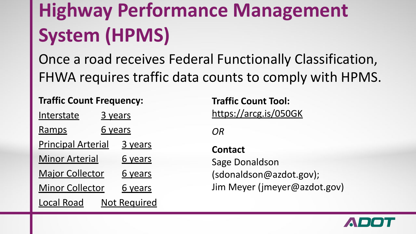# **Highway Performance Management System (HPMS)**

Once a road receives Federal Functionally Classification, FHWA requires traffic data counts to comply with HPMS.

**Traffic Count Frequency:**

| <u>Interstate</u>         | <u>3 years</u> |                     |  |  |  |
|---------------------------|----------------|---------------------|--|--|--|
| <u>Ramps</u>              |                | <u>6 years</u>      |  |  |  |
| <b>Principal Arterial</b> |                | 3 years             |  |  |  |
| <b>Minor Arterial</b>     |                | 6 years             |  |  |  |
| <b>Major Collector</b>    |                | 6 years             |  |  |  |
| <b>Minor Collector</b>    |                | 6 years             |  |  |  |
| <b>Local Road</b>         |                | <b>Not Required</b> |  |  |  |

**Traffic Count Tool:** <https://arcg.is/050GK>

*OR*

**Contact**  Sage Donaldson (sdonaldson@azdot.gov); Jim Meyer (jmeyer@azdot.gov)

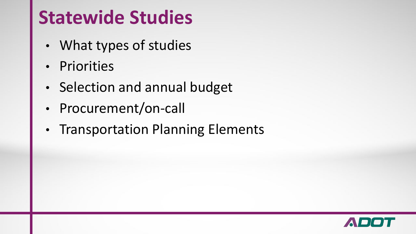## **Statewide Studies**

- What types of studies
- Priorities
- Selection and annual budget
- Procurement/on-call
- Transportation Planning Elements

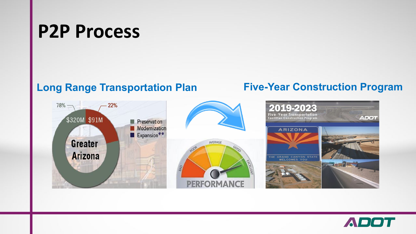## **P2P Process**

#### **Long Range Transportation Plan Five-Year Construction Program**





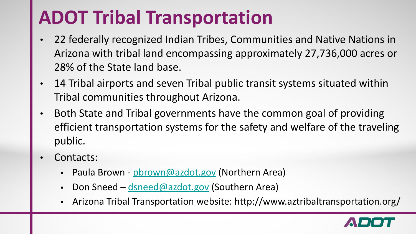## **ADOT Tribal Transportation**

- 22 federally recognized Indian Tribes, Communities and Native Nations in Arizona with tribal land encompassing approximately 27,736,000 acres or 28% of the State land base.
- 14 Tribal airports and seven Tribal public transit systems situated within Tribal communities throughout Arizona.
- Both State and Tribal governments have the common goal of providing efficient transportation systems for the safety and welfare of the traveling public.
- Contacts:
	- Paula Brown - [pbrown@azdot.gov](mailto:pbrown@azdot.gov) (Northern Area)
	- Don Sneed [dsneed@azdot.gov](mailto:dsneed@azdot.gov) (Southern Area)
	- Arizona Tribal Transportation website: http://www.aztribaltransportation.org/

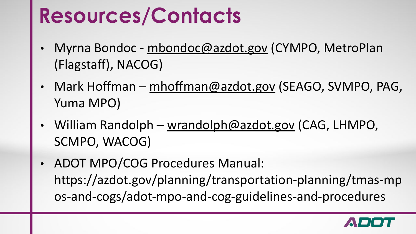# **Resources/Contacts**

- Myrna Bondoc [mbondoc@azdot.gov](mailto:mbondoc@azdot.gov) (CYMPO, MetroPlan (Flagstaff), NACOG)
- Mark Hoffman [mhoffman@azdot.gov](mailto:mhoffman@azdot.gov) (SEAGO, SVMPO, PAG, Yuma MPO)
- William Randolph [wrandolph@azdot.gov](mailto:wrandolph@azdot.gov) (CAG, LHMPO, SCMPO, WACOG)
- ADOT MPO/COG Procedures Manual: https://azdot.gov/planning/transportation-planning/tmas-mp os-and-cogs/adot-mpo-and-cog-guidelines-and-procedures